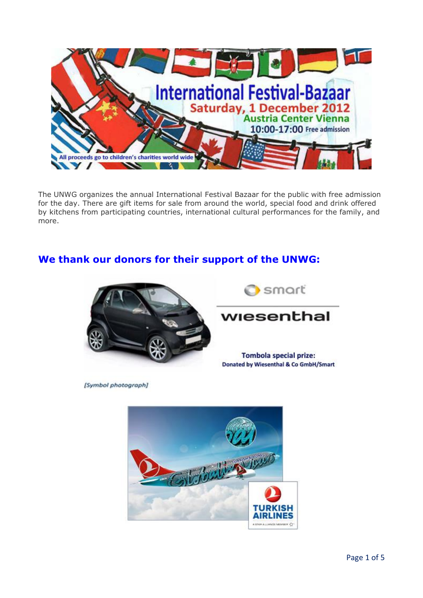

The UNWG organizes the annual International Festival Bazaar for the public with free admission for the day. There are gift items for sale from around the world, special food and drink offered by kitchens from participating countries, international cultural performances for the family, and more.

# **We thank our donors for their support of the UNWG:**



[Symbol photograph]



**Tombola special prize: Donated by Wiesenthal & Co GmbH/Smart** 

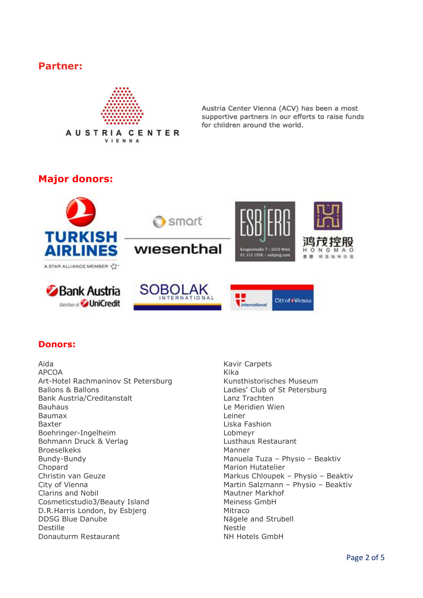## **Partner:**



Austria Center Vienna (ACV) has been a most supportive partners in our efforts to raise funds for children around the world.

# **Major donors:**



### **Donors:**

Aida Kavir Carpets APCOA Kika Art-Hotel Rachmaninov St Petersburg Kunsthistorisches Museum Ballons & Ballons **Ladies'** Club of St Petersburg Bank Austria/Creditanstalt Lanz Trachten Bauhaus **Le Meridien Wien** Baumax Leiner Baxter **Liska Fashion** Boehringer-Ingelheim Lobmeyr Bohmann Druck & Verlag Lusthaus Restaurant Broeselkeks Manner Bundy-Bundy Manuela Tuza – Physio – Beaktiv Chopard Marion Hutatelier Christin van Geuze **Markus Chloupek – Physio – Beaktiv** City of Vienna **Martin Salzmann – Physio – Beaktiv** Clarins and Nobil Mautner Markhof Cosmeticstudio3/Beauty Island Meiness GmbH D.R.Harris London, by Esbjerg Mitraco DDSG Blue Danube Nägele and Strubell Destille Nestle **Donauturm Restaurant NH Hotels GmbH**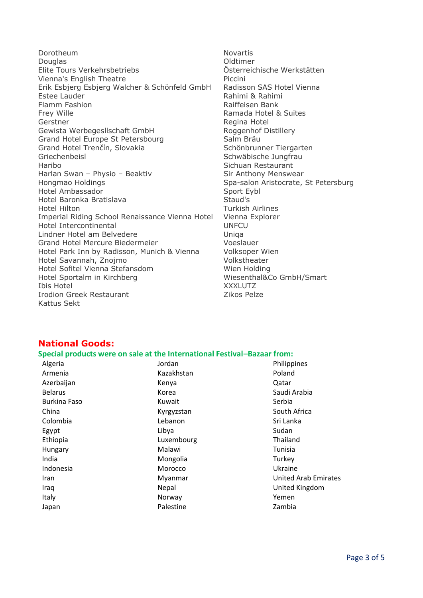Dorotheum Novartis Douglas Oldtimer Elite Tours Verkehrsbetriebs Österreichische Werkstätten Vienna's English Theatre **Piccini** Erik Esbjerg Esbjerg Walcher & Schönfeld GmbH Radisson SAS Hotel Vienna Estee Lauder **Rahimi & Rahimi & Rahimi & Rahimi** Flamm Fashion **Raiffeisen Bank** Frey Wille **Ramada Hotel & Suites** Gerstner Regina Hotel Gewista Werbegesllschaft GmbH Roggenhof Distillery Grand Hotel Europe St Petersbourg Salm Bräu Grand Hotel Trenčín, Slovakia Schönbrunner Tiergarten Griechenbeisl Schwäbische Jungfrau Haribo **Sichuan Restaurant** Harlan Swan – Physio – Beaktiv Sir Anthony Menswear Hongmao Holdings The Spa-salon Aristocrate, St Petersburg Hotel Ambassador Sport Eybl Hotel Baronka Bratislava Hotel Hilton Turkish Airlines Imperial Riding School Renaissance Vienna Hotel Vienna Explorer Hotel Intercontinental UNFCU Lindner Hotel am Belvedere Van Maria Baranga Unique Grand Hotel Mercure Biedermeier Voeslauer Hotel Park Inn by Radisson, Munich & Vienna Volksoper Wien Hotel Savannah, Znojmo Volkstheater Hotel Sofitel Vienna Stefansdom Wien Holding Hotel Sportalm in Kirchberg Wiesenthal&Co GmbH/Smart Ibis Hotel XXXLUTZ Irodion Greek Restaurant **Zikos Pelze** Kattus Sekt

### **National Goods:**

#### **Special products were on sale at the International Festival–Bazaar from:**

| Algeria             | Jordan     | Philippines                 |
|---------------------|------------|-----------------------------|
| Armenia             | Kazakhstan | Poland                      |
| Azerbaijan          | Kenya      | Qatar                       |
| <b>Belarus</b>      | Korea      | Saudi Arabia                |
| <b>Burkina Faso</b> | Kuwait     | Serbia                      |
| China               | Kyrgyzstan | South Africa                |
| Colombia            | Lebanon    | Sri Lanka                   |
| Egypt               | Libya      | Sudan                       |
| Ethiopia            | Luxembourg | Thailand                    |
| Hungary             | Malawi     | Tunisia                     |
| India               | Mongolia   | Turkey                      |
| Indonesia           | Morocco    | Ukraine                     |
| Iran                | Myanmar    | <b>United Arab Emirates</b> |
| Iraq                | Nepal      | United Kingdom              |
| Italy               | Norway     | Yemen                       |
| Japan               | Palestine  | Zambia                      |
|                     |            |                             |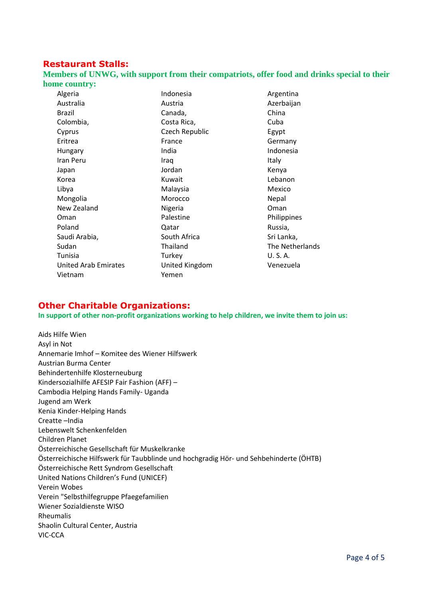### **Restaurant Stalls:**

**Members of UNWG, with support from their compatriots, offer food and drinks special to their home country:**

| Algeria                     | Indonesia      | Argentina       |
|-----------------------------|----------------|-----------------|
| Australia                   | Austria        | Azerbaijan      |
| Brazil                      | Canada,        | China           |
| Colombia,                   | Costa Rica,    | Cuba            |
| Cyprus                      | Czech Republic | Egypt           |
| Eritrea                     | France         | Germany         |
| Hungary                     | India          | Indonesia       |
| Iran Peru                   | Iraq           | <b>Italy</b>    |
| Japan                       | Jordan         | Kenya           |
| Korea                       | Kuwait         | Lebanon         |
| Libya                       | Malaysia       | Mexico          |
| Mongolia                    | Morocco        | Nepal           |
| New Zealand                 | Nigeria        | Oman            |
| Oman                        | Palestine      | Philippines     |
| Poland                      | Qatar          | Russia,         |
| Saudi Arabia,               | South Africa   | Sri Lanka,      |
| Sudan                       | Thailand       | The Netherlands |
| Tunisia                     | Turkey         | U.S.A.          |
| <b>United Arab Emirates</b> | United Kingdom | Venezuela       |
| Vietnam                     | Yemen          |                 |
|                             |                |                 |

### **Other Charitable Organizations:**

**In support of other non-profit organizations working to help children, we invite them to join us:**

Aids Hilfe Wien Asyl in Not Annemarie Imhof – Komitee des Wiener Hilfswerk Austrian Burma Center Behindertenhilfe Klosterneuburg Kindersozialhilfe AFESIP Fair Fashion (AFF) – Cambodia Helping Hands Family- Uganda Jugend am Werk Kenia Kinder-Helping Hands Creatte –India Lebenswelt Schenkenfelden Children Planet Österreichische Gesellschaft für Muskelkranke Österreichische Hilfswerk für Taubblinde und hochgradig Hör- und Sehbehinderte (ÖHTB) Österreichische Rett Syndrom Gesellschaft United Nations Children's Fund (UNICEF) Verein Wobes Verein "Selbsthilfegruppe Pfaegefamilien Wiener Sozialdienste WISO Rheumalis Shaolin Cultural Center, Austria VIC-CCA